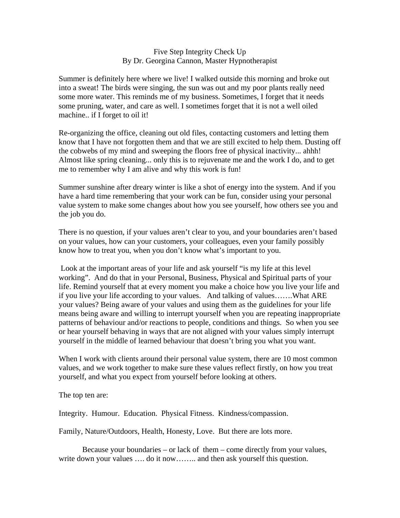## Five Step Integrity Check Up By Dr. Georgina Cannon, Master Hypnotherapist

Summer is definitely here where we live! I walked outside this morning and broke out into a sweat! The birds were singing, the sun was out and my poor plants really need some more water. This reminds me of my business. Sometimes, I forget that it needs some pruning, water, and care as well. I sometimes forget that it is not a well oiled machine.. if I forget to oil it!

Re-organizing the office, cleaning out old files, contacting customers and letting them know that I have not forgotten them and that we are still excited to help them. Dusting off the cobwebs of my mind and sweeping the floors free of physical inactivity... ahhh! Almost like spring cleaning... only this is to rejuvenate me and the work I do, and to get me to remember why I am alive and why this work is fun!

Summer sunshine after dreary winter is like a shot of energy into the system. And if you have a hard time remembering that your work can be fun, consider using your personal value system to make some changes about how you see yourself, how others see you and the job you do.

There is no question, if your values aren't clear to you, and your boundaries aren't based on your values, how can your customers, your colleagues, even your family possibly know how to treat you, when you don't know what's important to you.

 Look at the important areas of your life and ask yourself "is my life at this level working". And do that in your Personal, Business, Physical and Spiritual parts of your life. Remind yourself that at every moment you make a choice how you live your life and if you live your life according to your values. And talking of values…….What ARE your values? Being aware of your values and using them as the guidelines for your life means being aware and willing to interrupt yourself when you are repeating inappropriate patterns of behaviour and/or reactions to people, conditions and things. So when you see or hear yourself behaving in ways that are not aligned with your values simply interrupt yourself in the middle of learned behaviour that doesn't bring you what you want.

When I work with clients around their personal value system, there are 10 most common values, and we work together to make sure these values reflect firstly, on how you treat yourself, and what you expect from yourself before looking at others.

The top ten are:

Integrity. Humour. Education. Physical Fitness. Kindness/compassion.

Family, Nature/Outdoors, Health, Honesty, Love. But there are lots more.

Because your boundaries – or lack of them – come directly from your values, write down your values .... do it now........ and then ask yourself this question.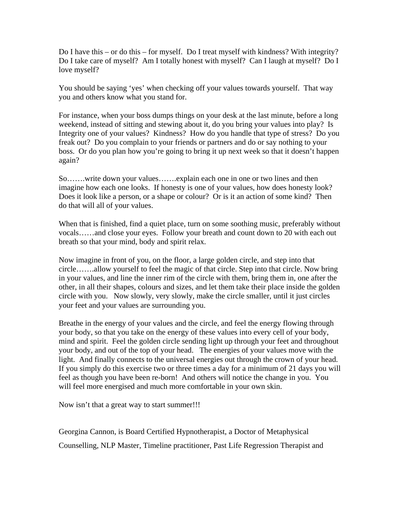Do I have this – or do this – for myself. Do I treat myself with kindness? With integrity? Do I take care of myself? Am I totally honest with myself? Can I laugh at myself? Do I love myself?

You should be saying 'yes' when checking off your values towards yourself. That way you and others know what you stand for.

For instance, when your boss dumps things on your desk at the last minute, before a long weekend, instead of sitting and stewing about it, do you bring your values into play? Is Integrity one of your values? Kindness? How do you handle that type of stress? Do you freak out? Do you complain to your friends or partners and do or say nothing to your boss. Or do you plan how you're going to bring it up next week so that it doesn't happen again?

So…….write down your values…….explain each one in one or two lines and then imagine how each one looks. If honesty is one of your values, how does honesty look? Does it look like a person, or a shape or colour? Or is it an action of some kind? Then do that will all of your values.

When that is finished, find a quiet place, turn on some soothing music, preferably without vocals……and close your eyes. Follow your breath and count down to 20 with each out breath so that your mind, body and spirit relax.

Now imagine in front of you, on the floor, a large golden circle, and step into that circle…….allow yourself to feel the magic of that circle. Step into that circle. Now bring in your values, and line the inner rim of the circle with them, bring them in, one after the other, in all their shapes, colours and sizes, and let them take their place inside the golden circle with you. Now slowly, very slowly, make the circle smaller, until it just circles your feet and your values are surrounding you.

Breathe in the energy of your values and the circle, and feel the energy flowing through your body, so that you take on the energy of these values into every cell of your body, mind and spirit. Feel the golden circle sending light up through your feet and throughout your body, and out of the top of your head. The energies of your values move with the light. And finally connects to the universal energies out through the crown of your head. If you simply do this exercise two or three times a day for a minimum of 21 days you will feel as though you have been re-born! And others will notice the change in you. You will feel more energised and much more comfortable in your own skin.

Now isn't that a great way to start summer!!!

Georgina Cannon, is Board Certified Hypnotherapist, a Doctor of Metaphysical Counselling, NLP Master, Timeline practitioner, Past Life Regression Therapist and